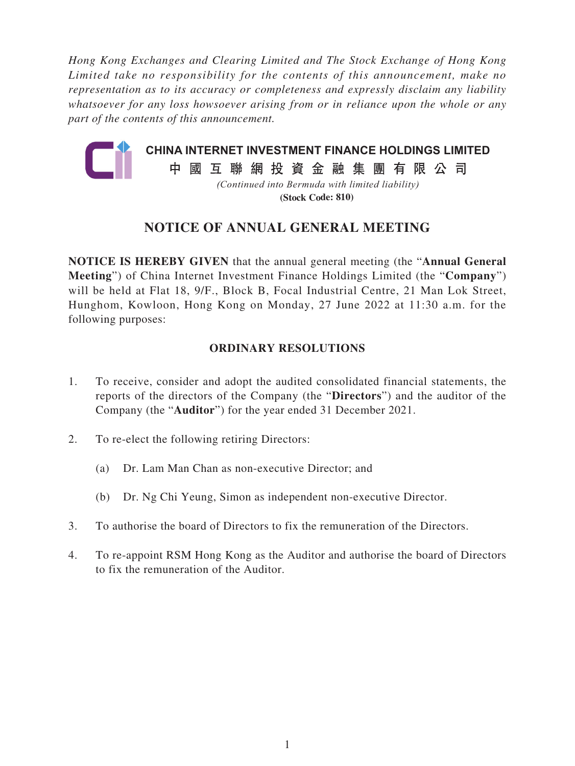*Hong Kong Exchanges and Clearing Limited and The Stock Exchange of Hong Kong Limited take no responsibility for the contents of this announcement, make no representation as to its accuracy or completeness and expressly disclaim any liability whatsoever for any loss howsoever arising from or in reliance upon the whole or any part of the contents of this announcement.*



**(Stock Code: 810)**

# **NOTICE OF ANNUAL GENERAL MEETING**

**NOTICE IS HEREBY GIVEN** that the annual general meeting (the "**Annual General Meeting**") of China Internet Investment Finance Holdings Limited (the "**Company**") will be held at Flat 18, 9/F., Block B, Focal Industrial Centre, 21 Man Lok Street, Hunghom, Kowloon, Hong Kong on Monday, 27 June 2022 at 11:30 a.m. for the following purposes:

# **ORDINARY RESOLUTIONS**

- 1. To receive, consider and adopt the audited consolidated financial statements, the reports of the directors of the Company (the "**Directors**") and the auditor of the Company (the "**Auditor**") for the year ended 31 December 2021.
- 2. To re-elect the following retiring Directors:
	- (a) Dr. Lam Man Chan as non-executive Director; and
	- (b) Dr. Ng Chi Yeung, Simon as independent non-executive Director.
- 3. To authorise the board of Directors to fix the remuneration of the Directors.
- 4. To re-appoint RSM Hong Kong as the Auditor and authorise the board of Directors to fix the remuneration of the Auditor.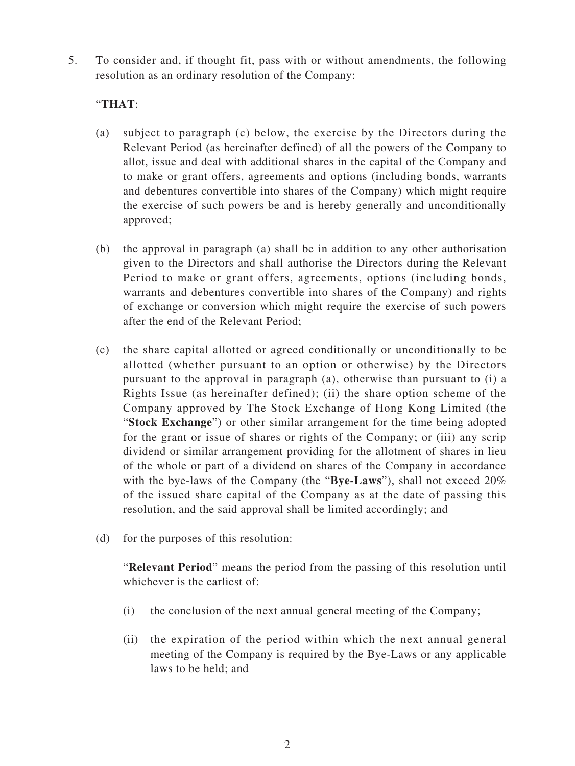5. To consider and, if thought fit, pass with or without amendments, the following resolution as an ordinary resolution of the Company:

### "**THAT**:

- (a) subject to paragraph (c) below, the exercise by the Directors during the Relevant Period (as hereinafter defined) of all the powers of the Company to allot, issue and deal with additional shares in the capital of the Company and to make or grant offers, agreements and options (including bonds, warrants and debentures convertible into shares of the Company) which might require the exercise of such powers be and is hereby generally and unconditionally approved;
- (b) the approval in paragraph (a) shall be in addition to any other authorisation given to the Directors and shall authorise the Directors during the Relevant Period to make or grant offers, agreements, options (including bonds, warrants and debentures convertible into shares of the Company) and rights of exchange or conversion which might require the exercise of such powers after the end of the Relevant Period;
- (c) the share capital allotted or agreed conditionally or unconditionally to be allotted (whether pursuant to an option or otherwise) by the Directors pursuant to the approval in paragraph (a), otherwise than pursuant to (i) a Rights Issue (as hereinafter defined); (ii) the share option scheme of the Company approved by The Stock Exchange of Hong Kong Limited (the "**Stock Exchange**") or other similar arrangement for the time being adopted for the grant or issue of shares or rights of the Company; or (iii) any scrip dividend or similar arrangement providing for the allotment of shares in lieu of the whole or part of a dividend on shares of the Company in accordance with the bye-laws of the Company (the "**Bye-Laws**"), shall not exceed 20% of the issued share capital of the Company as at the date of passing this resolution, and the said approval shall be limited accordingly; and
- (d) for the purposes of this resolution:

"**Relevant Period**" means the period from the passing of this resolution until whichever is the earliest of:

- (i) the conclusion of the next annual general meeting of the Company;
- (ii) the expiration of the period within which the next annual general meeting of the Company is required by the Bye-Laws or any applicable laws to be held; and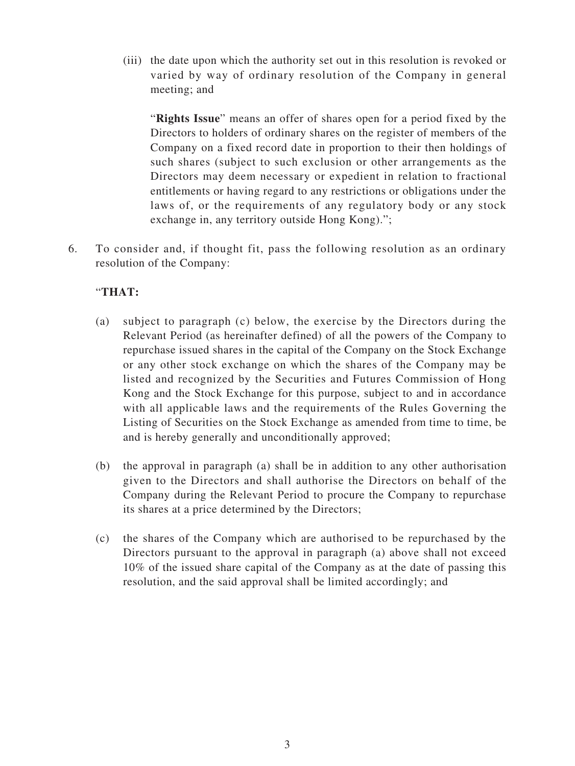(iii) the date upon which the authority set out in this resolution is revoked or varied by way of ordinary resolution of the Company in general meeting; and

"**Rights Issue**" means an offer of shares open for a period fixed by the Directors to holders of ordinary shares on the register of members of the Company on a fixed record date in proportion to their then holdings of such shares (subject to such exclusion or other arrangements as the Directors may deem necessary or expedient in relation to fractional entitlements or having regard to any restrictions or obligations under the laws of, or the requirements of any regulatory body or any stock exchange in, any territory outside Hong Kong).";

6. To consider and, if thought fit, pass the following resolution as an ordinary resolution of the Company:

# "**THAT:**

- (a) subject to paragraph (c) below, the exercise by the Directors during the Relevant Period (as hereinafter defined) of all the powers of the Company to repurchase issued shares in the capital of the Company on the Stock Exchange or any other stock exchange on which the shares of the Company may be listed and recognized by the Securities and Futures Commission of Hong Kong and the Stock Exchange for this purpose, subject to and in accordance with all applicable laws and the requirements of the Rules Governing the Listing of Securities on the Stock Exchange as amended from time to time, be and is hereby generally and unconditionally approved;
- (b) the approval in paragraph (a) shall be in addition to any other authorisation given to the Directors and shall authorise the Directors on behalf of the Company during the Relevant Period to procure the Company to repurchase its shares at a price determined by the Directors;
- (c) the shares of the Company which are authorised to be repurchased by the Directors pursuant to the approval in paragraph (a) above shall not exceed 10% of the issued share capital of the Company as at the date of passing this resolution, and the said approval shall be limited accordingly; and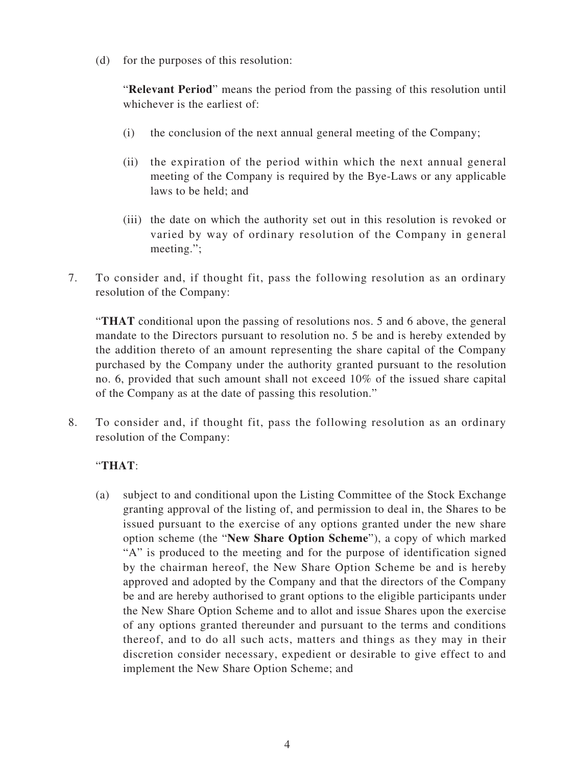(d) for the purposes of this resolution:

"**Relevant Period**" means the period from the passing of this resolution until whichever is the earliest of:

- (i) the conclusion of the next annual general meeting of the Company;
- (ii) the expiration of the period within which the next annual general meeting of the Company is required by the Bye-Laws or any applicable laws to be held; and
- (iii) the date on which the authority set out in this resolution is revoked or varied by way of ordinary resolution of the Company in general meeting.";
- 7. To consider and, if thought fit, pass the following resolution as an ordinary resolution of the Company:

"**THAT** conditional upon the passing of resolutions nos. 5 and 6 above, the general mandate to the Directors pursuant to resolution no. 5 be and is hereby extended by the addition thereto of an amount representing the share capital of the Company purchased by the Company under the authority granted pursuant to the resolution no. 6, provided that such amount shall not exceed 10% of the issued share capital of the Company as at the date of passing this resolution."

8. To consider and, if thought fit, pass the following resolution as an ordinary resolution of the Company:

# "**THAT**:

(a) subject to and conditional upon the Listing Committee of the Stock Exchange granting approval of the listing of, and permission to deal in, the Shares to be issued pursuant to the exercise of any options granted under the new share option scheme (the "**New Share Option Scheme**"), a copy of which marked "A" is produced to the meeting and for the purpose of identification signed by the chairman hereof, the New Share Option Scheme be and is hereby approved and adopted by the Company and that the directors of the Company be and are hereby authorised to grant options to the eligible participants under the New Share Option Scheme and to allot and issue Shares upon the exercise of any options granted thereunder and pursuant to the terms and conditions thereof, and to do all such acts, matters and things as they may in their discretion consider necessary, expedient or desirable to give effect to and implement the New Share Option Scheme; and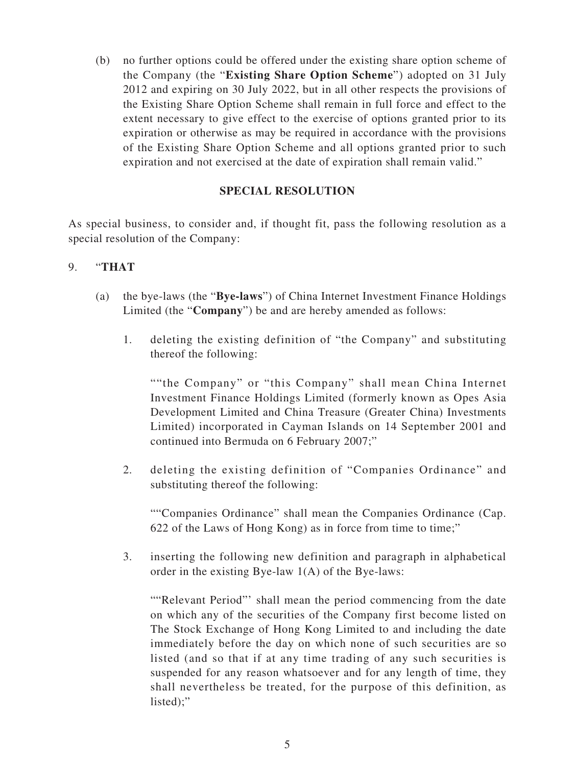(b) no further options could be offered under the existing share option scheme of the Company (the "**Existing Share Option Scheme**") adopted on 31 July 2012 and expiring on 30 July 2022, but in all other respects the provisions of the Existing Share Option Scheme shall remain in full force and effect to the extent necessary to give effect to the exercise of options granted prior to its expiration or otherwise as may be required in accordance with the provisions of the Existing Share Option Scheme and all options granted prior to such expiration and not exercised at the date of expiration shall remain valid."

# **SPECIAL RESOLUTION**

As special business, to consider and, if thought fit, pass the following resolution as a special resolution of the Company:

#### 9. "**THAT**

- (a) the bye-laws (the "**Bye-laws**") of China Internet Investment Finance Holdings Limited (the "**Company**") be and are hereby amended as follows:
	- 1. deleting the existing definition of "the Company" and substituting thereof the following:

""the Company" or "this Company" shall mean China Internet Investment Finance Holdings Limited (formerly known as Opes Asia Development Limited and China Treasure (Greater China) Investments Limited) incorporated in Cayman Islands on 14 September 2001 and continued into Bermuda on 6 February 2007;"

2. deleting the existing definition of "Companies Ordinance" and substituting thereof the following:

""Companies Ordinance" shall mean the Companies Ordinance (Cap. 622 of the Laws of Hong Kong) as in force from time to time;"

3. inserting the following new definition and paragraph in alphabetical order in the existing Bye-law 1(A) of the Bye-laws:

""Relevant Period"' shall mean the period commencing from the date on which any of the securities of the Company first become listed on The Stock Exchange of Hong Kong Limited to and including the date immediately before the day on which none of such securities are so listed (and so that if at any time trading of any such securities is suspended for any reason whatsoever and for any length of time, they shall nevertheless be treated, for the purpose of this definition, as listed);"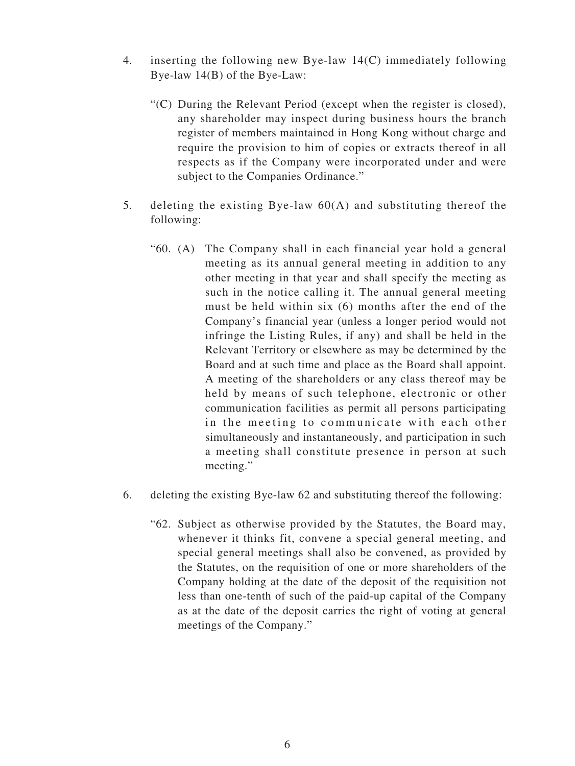- 4. inserting the following new Bye-law 14(C) immediately following Bye-law 14(B) of the Bye-Law:
	- "(C) During the Relevant Period (except when the register is closed), any shareholder may inspect during business hours the branch register of members maintained in Hong Kong without charge and require the provision to him of copies or extracts thereof in all respects as if the Company were incorporated under and were subject to the Companies Ordinance."
- 5. deleting the existing Bye-law 60(A) and substituting thereof the following:
	- "60. (A) The Company shall in each financial year hold a general meeting as its annual general meeting in addition to any other meeting in that year and shall specify the meeting as such in the notice calling it. The annual general meeting must be held within six (6) months after the end of the Company's financial year (unless a longer period would not infringe the Listing Rules, if any) and shall be held in the Relevant Territory or elsewhere as may be determined by the Board and at such time and place as the Board shall appoint. A meeting of the shareholders or any class thereof may be held by means of such telephone, electronic or other communication facilities as permit all persons participating in the meeting to communicate with each other simultaneously and instantaneously, and participation in such a meeting shall constitute presence in person at such meeting."
- 6. deleting the existing Bye-law 62 and substituting thereof the following:
	- "62. Subject as otherwise provided by the Statutes, the Board may, whenever it thinks fit, convene a special general meeting, and special general meetings shall also be convened, as provided by the Statutes, on the requisition of one or more shareholders of the Company holding at the date of the deposit of the requisition not less than one-tenth of such of the paid-up capital of the Company as at the date of the deposit carries the right of voting at general meetings of the Company."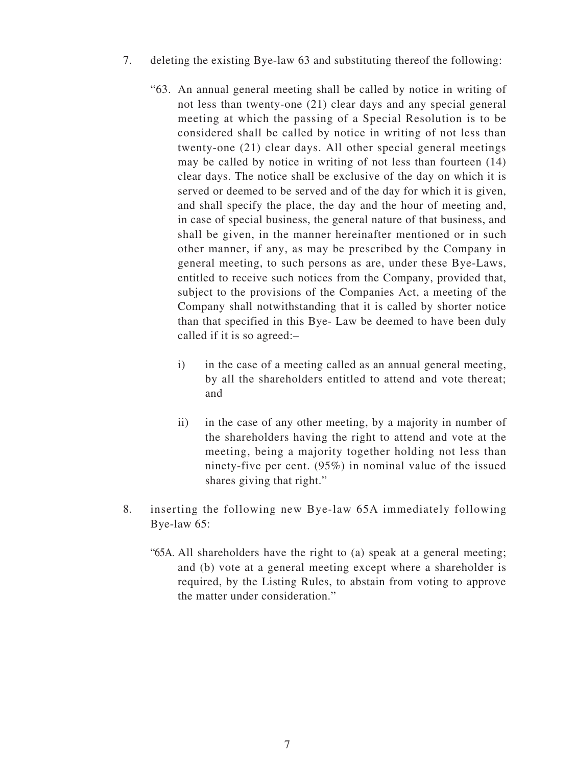- 7. deleting the existing Bye-law 63 and substituting thereof the following:
	- "63. An annual general meeting shall be called by notice in writing of not less than twenty-one (21) clear days and any special general meeting at which the passing of a Special Resolution is to be considered shall be called by notice in writing of not less than twenty-one (21) clear days. All other special general meetings may be called by notice in writing of not less than fourteen (14) clear days. The notice shall be exclusive of the day on which it is served or deemed to be served and of the day for which it is given, and shall specify the place, the day and the hour of meeting and, in case of special business, the general nature of that business, and shall be given, in the manner hereinafter mentioned or in such other manner, if any, as may be prescribed by the Company in general meeting, to such persons as are, under these Bye-Laws, entitled to receive such notices from the Company, provided that, subject to the provisions of the Companies Act, a meeting of the Company shall notwithstanding that it is called by shorter notice than that specified in this Bye- Law be deemed to have been duly called if it is so agreed:–
		- i) in the case of a meeting called as an annual general meeting, by all the shareholders entitled to attend and vote thereat; and
		- ii) in the case of any other meeting, by a majority in number of the shareholders having the right to attend and vote at the meeting, being a majority together holding not less than ninety-five per cent. (95%) in nominal value of the issued shares giving that right."
- 8. inserting the following new Bye-law 65A immediately following Bye-law 65:
	- "65A. All shareholders have the right to (a) speak at a general meeting; and (b) vote at a general meeting except where a shareholder is required, by the Listing Rules, to abstain from voting to approve the matter under consideration."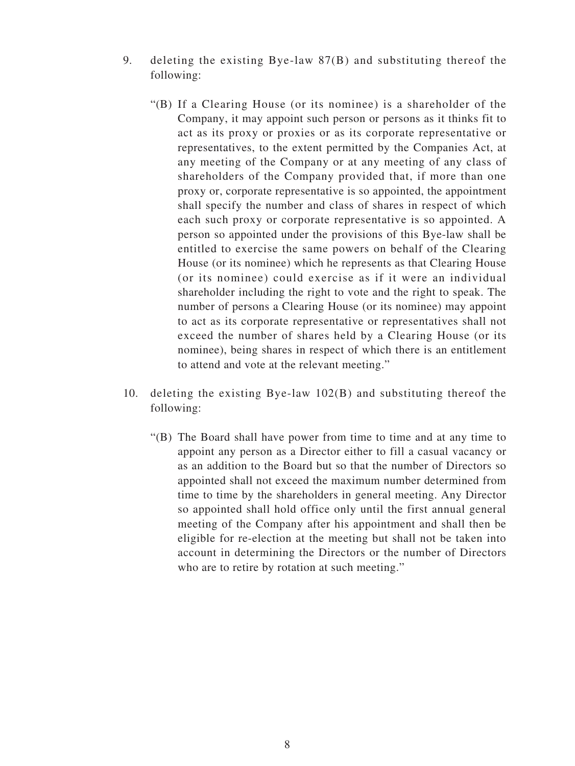- 9. deleting the existing Bye-law 87(B) and substituting thereof the following:
	- "(B) If a Clearing House (or its nominee) is a shareholder of the Company, it may appoint such person or persons as it thinks fit to act as its proxy or proxies or as its corporate representative or representatives, to the extent permitted by the Companies Act, at any meeting of the Company or at any meeting of any class of shareholders of the Company provided that, if more than one proxy or, corporate representative is so appointed, the appointment shall specify the number and class of shares in respect of which each such proxy or corporate representative is so appointed. A person so appointed under the provisions of this Bye-law shall be entitled to exercise the same powers on behalf of the Clearing House (or its nominee) which he represents as that Clearing House (or its nominee) could exercise as if it were an individual shareholder including the right to vote and the right to speak. The number of persons a Clearing House (or its nominee) may appoint to act as its corporate representative or representatives shall not exceed the number of shares held by a Clearing House (or its nominee), being shares in respect of which there is an entitlement to attend and vote at the relevant meeting."
- 10. deleting the existing Bye-law 102(B) and substituting thereof the following:
	- "(B) The Board shall have power from time to time and at any time to appoint any person as a Director either to fill a casual vacancy or as an addition to the Board but so that the number of Directors so appointed shall not exceed the maximum number determined from time to time by the shareholders in general meeting. Any Director so appointed shall hold office only until the first annual general meeting of the Company after his appointment and shall then be eligible for re-election at the meeting but shall not be taken into account in determining the Directors or the number of Directors who are to retire by rotation at such meeting."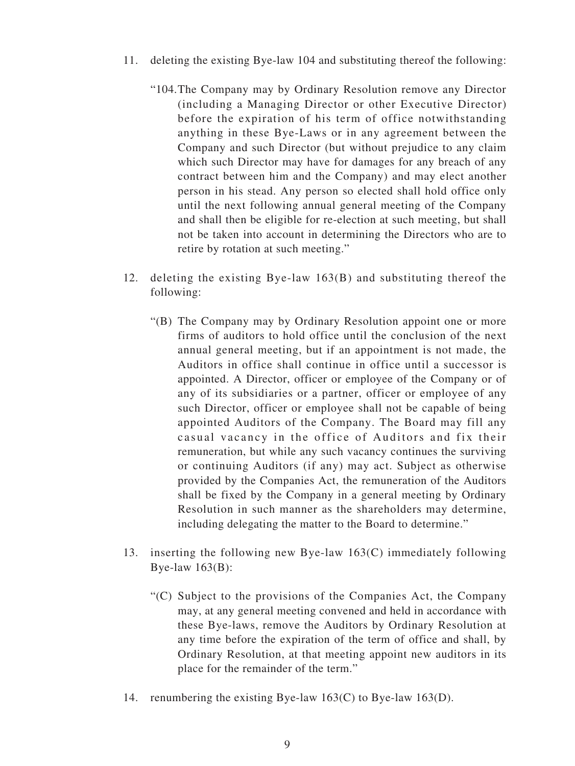- 11. deleting the existing Bye-law 104 and substituting thereof the following:
	- "104.The Company may by Ordinary Resolution remove any Director (including a Managing Director or other Executive Director) before the expiration of his term of office notwithstanding anything in these Bye-Laws or in any agreement between the Company and such Director (but without prejudice to any claim which such Director may have for damages for any breach of any contract between him and the Company) and may elect another person in his stead. Any person so elected shall hold office only until the next following annual general meeting of the Company and shall then be eligible for re-election at such meeting, but shall not be taken into account in determining the Directors who are to retire by rotation at such meeting."
- 12. deleting the existing Bye-law 163(B) and substituting thereof the following:
	- "(B) The Company may by Ordinary Resolution appoint one or more firms of auditors to hold office until the conclusion of the next annual general meeting, but if an appointment is not made, the Auditors in office shall continue in office until a successor is appointed. A Director, officer or employee of the Company or of any of its subsidiaries or a partner, officer or employee of any such Director, officer or employee shall not be capable of being appointed Auditors of the Company. The Board may fill any casual vacancy in the office of Auditors and fix their remuneration, but while any such vacancy continues the surviving or continuing Auditors (if any) may act. Subject as otherwise provided by the Companies Act, the remuneration of the Auditors shall be fixed by the Company in a general meeting by Ordinary Resolution in such manner as the shareholders may determine, including delegating the matter to the Board to determine."
- 13. inserting the following new Bye-law 163(C) immediately following Bye-law 163(B):
	- "(C) Subject to the provisions of the Companies Act, the Company may, at any general meeting convened and held in accordance with these Bye-laws, remove the Auditors by Ordinary Resolution at any time before the expiration of the term of office and shall, by Ordinary Resolution, at that meeting appoint new auditors in its place for the remainder of the term."
- 14. renumbering the existing Bye-law 163(C) to Bye-law 163(D).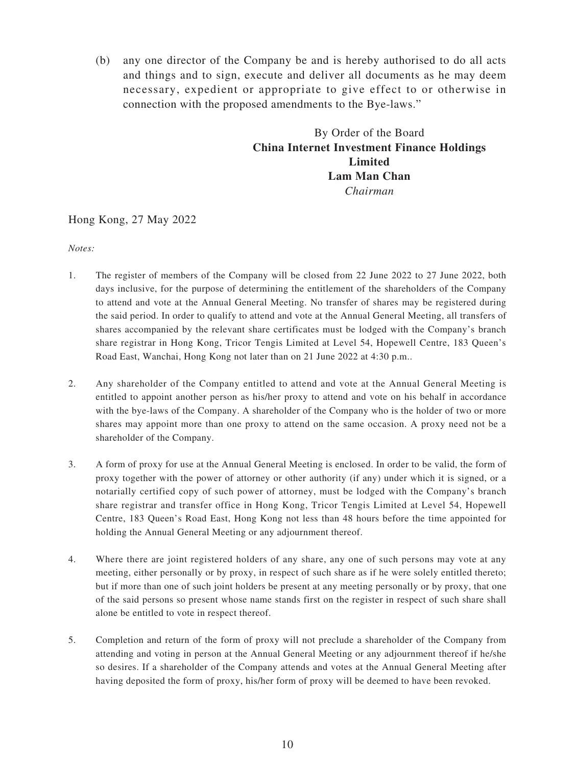(b) any one director of the Company be and is hereby authorised to do all acts and things and to sign, execute and deliver all documents as he may deem necessary, expedient or appropriate to give effect to or otherwise in connection with the proposed amendments to the Bye-laws."

# By Order of the Board **China Internet Investment Finance Holdings Limited Lam Man Chan** *Chairman*

#### Hong Kong, 27 May 2022

*Notes:*

- 1. The register of members of the Company will be closed from 22 June 2022 to 27 June 2022, both days inclusive, for the purpose of determining the entitlement of the shareholders of the Company to attend and vote at the Annual General Meeting. No transfer of shares may be registered during the said period. In order to qualify to attend and vote at the Annual General Meeting, all transfers of shares accompanied by the relevant share certificates must be lodged with the Company's branch share registrar in Hong Kong, Tricor Tengis Limited at Level 54, Hopewell Centre, 183 Queen's Road East, Wanchai, Hong Kong not later than on 21 June 2022 at 4:30 p.m..
- 2. Any shareholder of the Company entitled to attend and vote at the Annual General Meeting is entitled to appoint another person as his/her proxy to attend and vote on his behalf in accordance with the bye-laws of the Company. A shareholder of the Company who is the holder of two or more shares may appoint more than one proxy to attend on the same occasion. A proxy need not be a shareholder of the Company.
- 3. A form of proxy for use at the Annual General Meeting is enclosed. In order to be valid, the form of proxy together with the power of attorney or other authority (if any) under which it is signed, or a notarially certified copy of such power of attorney, must be lodged with the Company's branch share registrar and transfer office in Hong Kong, Tricor Tengis Limited at Level 54, Hopewell Centre, 183 Queen's Road East, Hong Kong not less than 48 hours before the time appointed for holding the Annual General Meeting or any adjournment thereof.
- 4. Where there are joint registered holders of any share, any one of such persons may vote at any meeting, either personally or by proxy, in respect of such share as if he were solely entitled thereto; but if more than one of such joint holders be present at any meeting personally or by proxy, that one of the said persons so present whose name stands first on the register in respect of such share shall alone be entitled to vote in respect thereof.
- 5. Completion and return of the form of proxy will not preclude a shareholder of the Company from attending and voting in person at the Annual General Meeting or any adjournment thereof if he/she so desires. If a shareholder of the Company attends and votes at the Annual General Meeting after having deposited the form of proxy, his/her form of proxy will be deemed to have been revoked.